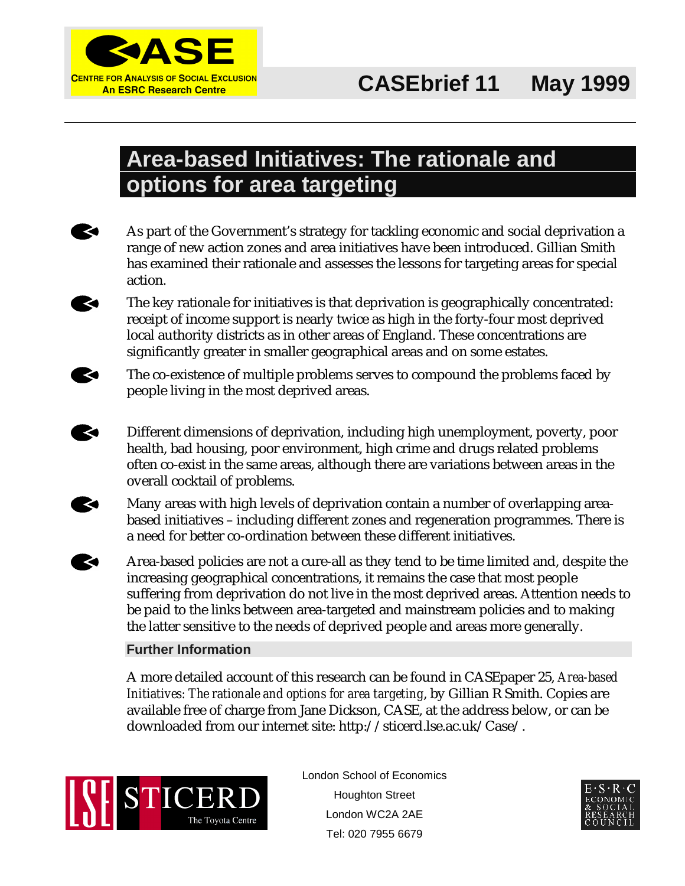

# **Area-based Initiatives: The rationale and options for area targeting**

**KO** 

**KO** 

**KO** 

 $\blacktriangleright$ 

 $\blacktriangleright$ 

As part of the Government's strategy for tackling economic and social deprivation a range of new action zones and area initiatives have been introduced. Gillian Smith has examined their rationale and assesses the lessons for targeting areas for special action.

The key rationale for initiatives is that deprivation is geographically concentrated: receipt of income support is nearly twice as high in the forty-four most deprived local authority districts as in other areas of England. These concentrations are significantly greater in smaller geographical areas and on some estates.

The co-existence of multiple problems serves to compound the problems faced by people living in the most deprived areas.

Different dimensions of deprivation, including high unemployment, poverty, poor health, bad housing, poor environment, high crime and drugs related problems often co-exist in the same areas, although there are variations between areas in the overall cocktail of problems.

Many areas with high levels of deprivation contain a number of overlapping area-**KO** based initiatives – including different zones and regeneration programmes. There is a need for better co-ordination between these different initiatives.

Area-based policies are not a cure-all as they tend to be time limited and, despite the increasing geographical concentrations, it remains the case that most people suffering from deprivation do not live in the most deprived areas. Attention needs to be paid to the links between area-targeted and mainstream policies and to making the latter sensitive to the needs of deprived people and areas more generally.

#### **Further Information**

A more detailed account of this research can be found in CASEpaper 25, *Area-based Initiatives: The rationale and options for area targeting*, by Gillian R Smith. Copies are available free of charge from Jane Dickson, CASE, at the address below, or can be downloaded from our internet site: http://sticerd.lse.ac.uk/Case/.



London School of Economics Houghton Street London WC2A 2AE Tel: 020 7955 6679

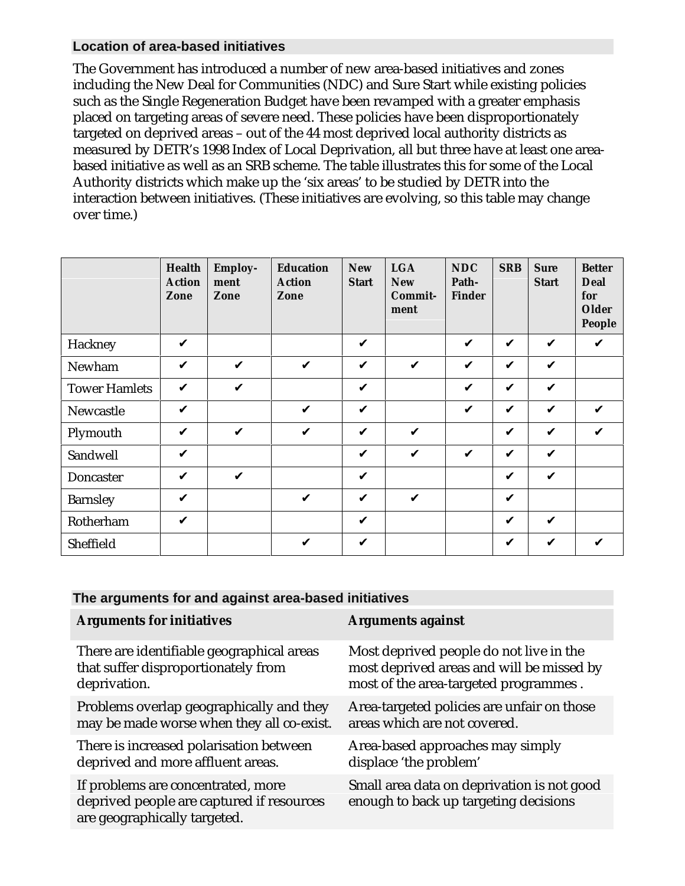## **Location of area-based initiatives**

The Government has introduced a number of new area-based initiatives and zones including the New Deal for Communities (NDC) and Sure Start while existing policies such as the Single Regeneration Budget have been revamped with a greater emphasis placed on targeting areas of severe need. These policies have been disproportionately targeted on deprived areas – out of the 44 most deprived local authority districts as measured by DETR's 1998 Index of Local Deprivation, all but three have at least one areabased initiative as well as an SRB scheme. The table illustrates this for some of the Local Authority districts which make up the 'six areas' to be studied by DETR into the interaction between initiatives. (These initiatives are evolving, so this table may change over time.)

|                      | <b>Health</b><br><b>Action</b><br>Zone | <b>Employ-</b><br>ment<br>Zone | <b>Education</b><br><b>Action</b><br>Zone | <b>New</b><br><b>Start</b> | <b>LGA</b><br><b>New</b><br>Commit-<br>ment | <b>NDC</b><br>Path-<br><b>Finder</b> | <b>SRB</b>   | <b>Sure</b><br><b>Start</b> | <b>Better</b><br><b>Deal</b><br>for<br><b>Older</b><br>People |
|----------------------|----------------------------------------|--------------------------------|-------------------------------------------|----------------------------|---------------------------------------------|--------------------------------------|--------------|-----------------------------|---------------------------------------------------------------|
| Hackney              | V                                      |                                |                                           | $\checkmark$               |                                             | V                                    | $\checkmark$ | V                           | $\boldsymbol{\nu}$                                            |
| Newham               | $\checkmark$                           | V                              | $\checkmark$                              | V                          | $\boldsymbol{\mathcal{U}}$                  | V                                    | $\checkmark$ | $\checkmark$                |                                                               |
| <b>Tower Hamlets</b> | $\checkmark$                           | $\checkmark$                   |                                           | V                          |                                             | V                                    | $\checkmark$ | $\checkmark$                |                                                               |
| Newcastle            | $\checkmark$                           |                                | $\checkmark$                              | $\checkmark$               |                                             | $\checkmark$                         | $\checkmark$ | $\checkmark$                | $\checkmark$                                                  |
| Plymouth             | $\checkmark$                           | $\checkmark$                   | $\checkmark$                              | $\checkmark$               | V                                           |                                      | $\checkmark$ | $\checkmark$                | $\boldsymbol{\nu}$                                            |
| Sandwell             | $\checkmark$                           |                                |                                           | V                          | $\checkmark$                                | V                                    | V            | $\checkmark$                |                                                               |
| Doncaster            | $\checkmark$                           | $\boldsymbol{\nu}$             |                                           | V                          |                                             |                                      | $\checkmark$ | $\checkmark$                |                                                               |
| <b>Barnsley</b>      | $\checkmark$                           |                                | $\checkmark$                              | $\checkmark$               | $\checkmark$                                |                                      | $\checkmark$ |                             |                                                               |
| Rotherham            | $\checkmark$                           |                                |                                           | $\checkmark$               |                                             |                                      | $\checkmark$ | V                           |                                                               |
| Sheffield            |                                        |                                | V                                         | $\checkmark$               |                                             |                                      | V            | V                           | ✓                                                             |

#### **The arguments for and against area-based initiatives**

| <b>Arguments for initiatives</b>                                                                                | <b>Arguments against</b>                                                            |
|-----------------------------------------------------------------------------------------------------------------|-------------------------------------------------------------------------------------|
| There are identifiable geographical areas                                                                       | Most deprived people do not live in the                                             |
| that suffer disproportionately from                                                                             | most deprived areas and will be missed by                                           |
| deprivation.                                                                                                    | most of the area-targeted programmes.                                               |
| Problems overlap geographically and they                                                                        | Area-targeted policies are unfair on those                                          |
| may be made worse when they all co-exist.                                                                       | areas which are not covered.                                                        |
| There is increased polarisation between                                                                         | Area-based approaches may simply                                                    |
| deprived and more affluent areas.                                                                               | displace 'the problem'                                                              |
| If problems are concentrated, more<br>deprived people are captured if resources<br>are geographically targeted. | Small area data on deprivation is not good<br>enough to back up targeting decisions |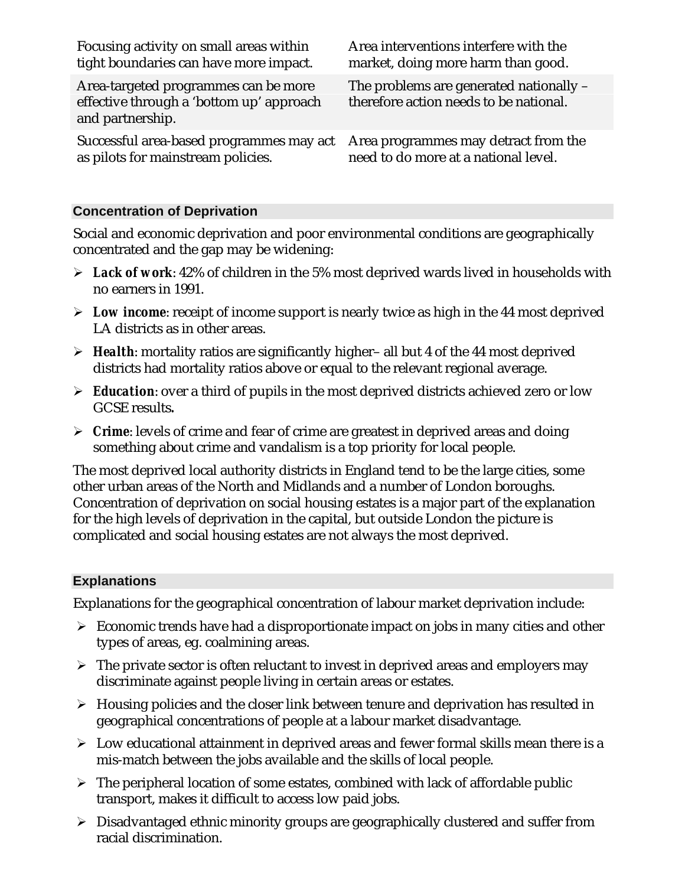| Focusing activity on small areas within                                                              | Area interventions interfere with the                                             |
|------------------------------------------------------------------------------------------------------|-----------------------------------------------------------------------------------|
| tight boundaries can have more impact.                                                               | market, doing more harm than good.                                                |
| Area-targeted programmes can be more<br>effective through a 'bottom up' approach<br>and partnership. | The problems are generated nationally –<br>therefore action needs to be national. |
| Successful area-based programmes may act                                                             | Area programmes may detract from the                                              |
| as pilots for mainstream policies.                                                                   | need to do more at a national level.                                              |

#### **Concentration of Deprivation**

Social and economic deprivation and poor environmental conditions are geographically concentrated and the gap may be widening:

- *Lack of work*: 42% of children in the 5% most deprived wards lived in households with no earners in 1991.
- *Low income*: receipt of income support is nearly twice as high in the 44 most deprived LA districts as in other areas.
- *Health*: mortality ratios are significantly higher– all but 4 of the 44 most deprived districts had mortality ratios above or equal to the relevant regional average.
- *Education*: over a third of pupils in the most deprived districts achieved zero or low GCSE results*.*
- *Crime*: levels of crime and fear of crime are greatest in deprived areas and doing something about crime and vandalism is a top priority for local people.

The most deprived local authority districts in England tend to be the large cities, some other urban areas of the North and Midlands and a number of London boroughs. Concentration of deprivation on social housing estates is a major part of the explanation for the high levels of deprivation in the capital, but outside London the picture is complicated and social housing estates are not always the most deprived.

#### **Explanations**

Explanations for the geographical concentration of labour market deprivation include:

- $\triangleright$  Economic trends have had a disproportionate impact on jobs in many cities and other types of areas, eg. coalmining areas.
- $\triangleright$  The private sector is often reluctant to invest in deprived areas and employers may discriminate against people living in certain areas or estates.
- $\triangleright$  Housing policies and the closer link between tenure and deprivation has resulted in geographical concentrations of people at a labour market disadvantage.
- $\triangleright$  Low educational attainment in deprived areas and fewer formal skills mean there is a mis-match between the jobs available and the skills of local people.
- $\triangleright$  The peripheral location of some estates, combined with lack of affordable public transport, makes it difficult to access low paid jobs.
- Disadvantaged ethnic minority groups are geographically clustered and suffer from racial discrimination.